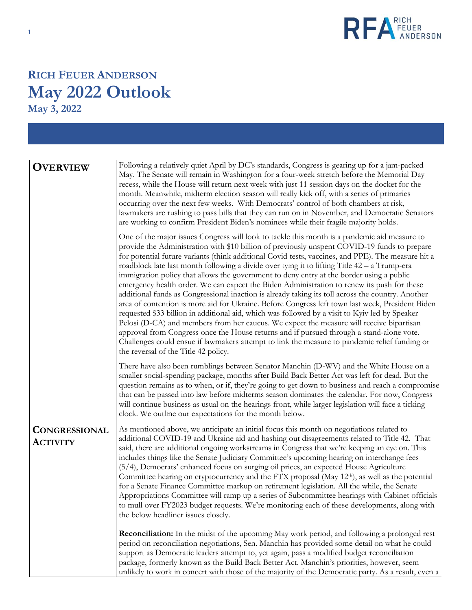

## **RICH FEUER ANDERSON May 2022 Outlook**

**May 3, 2022**

| <b>OVERVIEW</b>                         | Following a relatively quiet April by DC's standards, Congress is gearing up for a jam-packed<br>May. The Senate will remain in Washington for a four-week stretch before the Memorial Day<br>recess, while the House will return next week with just 11 session days on the docket for the<br>month. Meanwhile, midterm election season will really kick off, with a series of primaries<br>occurring over the next few weeks. With Democrats' control of both chambers at risk,<br>lawmakers are rushing to pass bills that they can run on in November, and Democratic Senators<br>are working to confirm President Biden's nominees while their fragile majority holds.                                                                                                                                                                                                                                                                                                                                                                                                                                                                                                                                                                |
|-----------------------------------------|--------------------------------------------------------------------------------------------------------------------------------------------------------------------------------------------------------------------------------------------------------------------------------------------------------------------------------------------------------------------------------------------------------------------------------------------------------------------------------------------------------------------------------------------------------------------------------------------------------------------------------------------------------------------------------------------------------------------------------------------------------------------------------------------------------------------------------------------------------------------------------------------------------------------------------------------------------------------------------------------------------------------------------------------------------------------------------------------------------------------------------------------------------------------------------------------------------------------------------------------|
|                                         | One of the major issues Congress will look to tackle this month is a pandemic aid measure to<br>provide the Administration with \$10 billion of previously unspent COVID-19 funds to prepare<br>for potential future variants (think additional Covid tests, vaccines, and PPE). The measure hit a<br>roadblock late last month following a divide over tying it to lifting Title $42 - a$ Trump-era<br>immigration policy that allows the government to deny entry at the border using a public<br>emergency health order. We can expect the Biden Administration to renew its push for these<br>additional funds as Congressional inaction is already taking its toll across the country. Another<br>area of contention is more aid for Ukraine. Before Congress left town last week, President Biden<br>requested \$33 billion in additional aid, which was followed by a visit to Kyiv led by Speaker<br>Pelosi (D-CA) and members from her caucus. We expect the measure will receive bipartisan<br>approval from Congress once the House returns and if pursued through a stand-alone vote.<br>Challenges could ensue if lawmakers attempt to link the measure to pandemic relief funding or<br>the reversal of the Title 42 policy. |
|                                         | There have also been rumblings between Senator Manchin (D-WV) and the White House on a<br>smaller social-spending package, months after Build Back Better Act was left for dead. But the<br>question remains as to when, or if, they're going to get down to business and reach a compromise<br>that can be passed into law before midterms season dominates the calendar. For now, Congress<br>will continue business as usual on the hearings front, while larger legislation will face a ticking<br>clock. We outline our expectations for the month below.                                                                                                                                                                                                                                                                                                                                                                                                                                                                                                                                                                                                                                                                             |
| <b>CONGRESSIONAL</b><br><b>ACTIVITY</b> | As mentioned above, we anticipate an initial focus this month on negotiations related to<br>additional COVID-19 and Ukraine aid and hashing out disagreements related to Title 42. That<br>said, there are additional ongoing workstreams in Congress that we're keeping an eye on. This<br>includes things like the Senate Judiciary Committee's upcoming hearing on interchange fees<br>(5/4), Democrats' enhanced focus on surging oil prices, an expected House Agriculture<br>Committee hearing on cryptocurrency and the FTX proposal (May 12 <sup>th</sup> ), as well as the potential<br>for a Senate Finance Committee markup on retirement legislation. All the while, the Senate<br>Appropriations Committee will ramp up a series of Subcommittee hearings with Cabinet officials<br>to mull over FY2023 budget requests. We're monitoring each of these developments, along with<br>the below headliner issues closely.                                                                                                                                                                                                                                                                                                       |
|                                         | <b>Reconciliation:</b> In the midst of the upcoming May work period, and following a prolonged rest<br>period on reconciliation negotiations, Sen. Manchin has provided some detail on what he could<br>support as Democratic leaders attempt to, yet again, pass a modified budget reconciliation<br>package, formerly known as the Build Back Better Act. Manchin's priorities, however, seem<br>unlikely to work in concert with those of the majority of the Democratic party. As a result, even a                                                                                                                                                                                                                                                                                                                                                                                                                                                                                                                                                                                                                                                                                                                                     |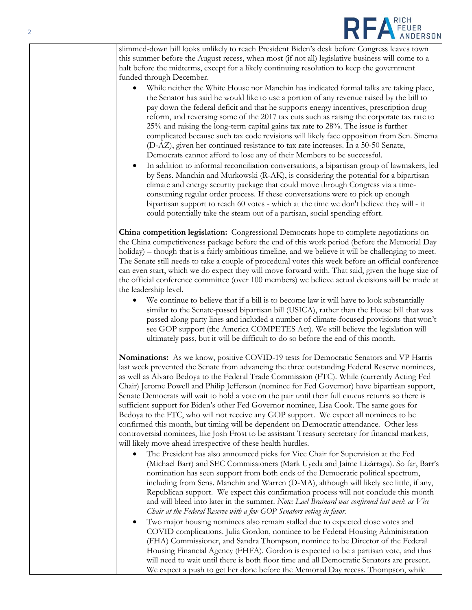

slimmed-down bill looks unlikely to reach President Biden's desk before Congress leaves town this summer before the August recess, when most (if not all) legislative business will come to a halt before the midterms, except for a likely continuing resolution to keep the government funded through December.

- While neither the White House nor Manchin has indicated formal talks are taking place, the Senator has said he would like to use a portion of any revenue raised by the bill to pay down the federal deficit and that he supports energy incentives, prescription drug reform, and reversing some of the 2017 tax cuts such as raising the corporate tax rate to 25% and raising the long-term capital gains tax rate to 28%. The issue is further complicated because such tax code revisions will likely face opposition from Sen. Sinema (D-AZ), given her continued resistance to tax rate increases. In a 50-50 Senate, Democrats cannot afford to lose any of their Members to be successful.
- In addition to informal reconciliation conversations, a bipartisan group of lawmakers, led by Sens. Manchin and Murkowski (R-AK), is considering the potential for a bipartisan climate and energy security package that could move through Congress via a timeconsuming regular order process. If these conversations were to pick up enough bipartisan support to reach 60 votes - which at the time we don't believe they will - it could potentially take the steam out of a partisan, social spending effort.

**China competition legislation:** Congressional Democrats hope to complete negotiations on the China competitiveness package before the end of this work period (before the Memorial Day holiday) – though that is a fairly ambitious timeline, and we believe it will be challenging to meet. The Senate still needs to take a couple of procedural votes this week before an official conference can even start, which we do expect they will move forward with. That said, given the huge size of the official conference committee (over 100 members) we believe actual decisions will be made at the leadership level.

• We continue to believe that if a bill is to become law it will have to look substantially similar to the Senate-passed bipartisan bill (USICA), rather than the House bill that was passed along party lines and included a number of climate-focused provisions that won't see GOP support (the America COMPETES Act). We still believe the legislation will ultimately pass, but it will be difficult to do so before the end of this month.

**Nominations:** As we know, positive COVID-19 tests for Democratic Senators and VP Harris last week prevented the Senate from advancing the three outstanding Federal Reserve nominees, as well as Alvaro Bedoya to the Federal Trade Commission (FTC). While (currently Acting Fed Chair) Jerome Powell and Philip Jefferson (nominee for Fed Governor) have bipartisan support, Senate Democrats will wait to hold a vote on the pair until their full caucus returns so there is sufficient support for Biden's other Fed Governor nominee, Lisa Cook. The same goes for Bedoya to the FTC, who will not receive any GOP support. We expect all nominees to be confirmed this month, but timing will be dependent on Democratic attendance. Other less controversial nominees, like Josh Frost to be assistant Treasury secretary for financial markets, will likely move ahead irrespective of these health hurdles.

- The President has also announced picks for Vice Chair for Supervision at the Fed (Michael Barr) and SEC Commissioners (Mark Uyeda and Jaime Lizárraga). So far, Barr's nomination has seen support from both ends of the Democratic political spectrum, including from Sens. Manchin and Warren (D-MA), although will likely see little, if any, Republican support. We expect this confirmation process will not conclude this month and will bleed into later in the summer. *Note: Lael Brainard was confirmed last week as Vice Chair at the Federal Reserve with a few GOP Senators voting in favor.*
- Two major housing nominees also remain stalled due to expected close votes and COVID complications. Julia Gordon, nominee to be Federal Housing Administration (FHA) Commissioner, and Sandra Thompson, nominee to be Director of the Federal Housing Financial Agency (FHFA). Gordon is expected to be a partisan vote, and thus will need to wait until there is both floor time and all Democratic Senators are present. We expect a push to get her done before the Memorial Day recess. Thompson, while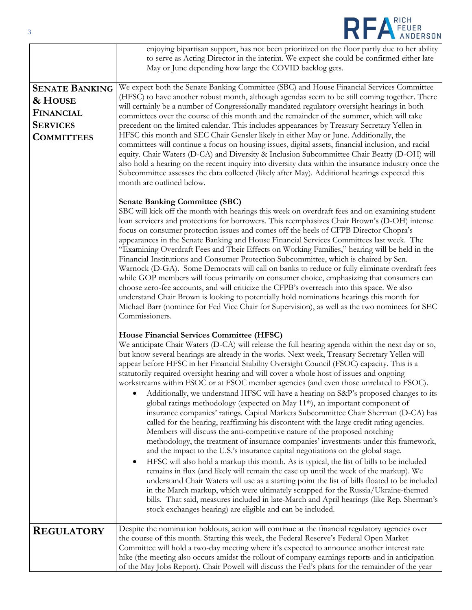| 3                                                                                            | REA FEUER                                                                                                                                                                                                                                                                                                                                                                                                                                                                                                                                                                                                                                                                                                                                                                                                                                                                                                                                                                                                                                                                                                                                                                                                                                                                                                                                                                                                                                                                                                                                                                                                                                                                                                    |
|----------------------------------------------------------------------------------------------|--------------------------------------------------------------------------------------------------------------------------------------------------------------------------------------------------------------------------------------------------------------------------------------------------------------------------------------------------------------------------------------------------------------------------------------------------------------------------------------------------------------------------------------------------------------------------------------------------------------------------------------------------------------------------------------------------------------------------------------------------------------------------------------------------------------------------------------------------------------------------------------------------------------------------------------------------------------------------------------------------------------------------------------------------------------------------------------------------------------------------------------------------------------------------------------------------------------------------------------------------------------------------------------------------------------------------------------------------------------------------------------------------------------------------------------------------------------------------------------------------------------------------------------------------------------------------------------------------------------------------------------------------------------------------------------------------------------|
|                                                                                              | enjoying bipartisan support, has not been prioritized on the floor partly due to her ability<br>to serve as Acting Director in the interim. We expect she could be confirmed either late<br>May or June depending how large the COVID backlog gets.                                                                                                                                                                                                                                                                                                                                                                                                                                                                                                                                                                                                                                                                                                                                                                                                                                                                                                                                                                                                                                                                                                                                                                                                                                                                                                                                                                                                                                                          |
| <b>SENATE BANKING</b><br>& HOUSE<br><b>FINANCIAL</b><br><b>SERVICES</b><br><b>COMMITTEES</b> | We expect both the Senate Banking Committee (SBC) and House Financial Services Committee<br>(HFSC) to have another robust month, although agendas seem to be still coming together. There<br>will certainly be a number of Congressionally mandated regulatory oversight hearings in both<br>committees over the course of this month and the remainder of the summer, which will take<br>precedent on the limited calendar. This includes appearances by Treasury Secretary Yellen in<br>HFSC this month and SEC Chair Gensler likely in either May or June. Additionally, the<br>committees will continue a focus on housing issues, digital assets, financial inclusion, and racial<br>equity. Chair Waters (D-CA) and Diversity & Inclusion Subcommittee Chair Beatty (D-OH) will<br>also hold a hearing on the recent inquiry into diversity data within the insurance industry once the<br>Subcommittee assesses the data collected (likely after May). Additional hearings expected this<br>month are outlined below.                                                                                                                                                                                                                                                                                                                                                                                                                                                                                                                                                                                                                                                                                 |
|                                                                                              | <b>Senate Banking Committee (SBC)</b><br>SBC will kick off the month with hearings this week on overdraft fees and on examining student<br>loan servicers and protections for borrowers. This reemphasizes Chair Brown's (D-OH) intense<br>focus on consumer protection issues and comes off the heels of CFPB Director Chopra's<br>appearances in the Senate Banking and House Financial Services Committees last week. The<br>"Examining Overdraft Fees and Their Effects on Working Families," hearing will be held in the<br>Financial Institutions and Consumer Protection Subcommittee, which is chaired by Sen.<br>Warnock (D-GA). Some Democrats will call on banks to reduce or fully eliminate overdraft fees<br>while GOP members will focus primarily on consumer choice, emphasizing that consumers can<br>choose zero-fee accounts, and will criticize the CFPB's overreach into this space. We also<br>understand Chair Brown is looking to potentially hold nominations hearings this month for<br>Michael Barr (nominee for Fed Vice Chair for Supervision), as well as the two nominees for SEC<br>Commissioners.                                                                                                                                                                                                                                                                                                                                                                                                                                                                                                                                                                          |
|                                                                                              | House Financial Services Committee (HFSC)<br>We anticipate Chair Waters (D-CA) will release the full hearing agenda within the next day or so,<br>but know several hearings are already in the works. Next week, Treasury Secretary Yellen will<br>appear before HFSC in her Financial Stability Oversight Council (FSOC) capacity. This is a<br>statutorily required oversight hearing and will cover a whole host of issues and ongoing<br>workstreams within FSOC or at FSOC member agencies (and even those unrelated to FSOC).<br>Additionally, we understand HFSC will have a hearing on S&P's proposed changes to its<br>global ratings methodology (expected on May 11 <sup>th</sup> ), an important component of<br>insurance companies' ratings. Capital Markets Subcommittee Chair Sherman (D-CA) has<br>called for the hearing, reaffirming his discontent with the large credit rating agencies.<br>Members will discuss the anti-competitive nature of the proposed notching<br>methodology, the treatment of insurance companies' investments under this framework,<br>and the impact to the U.S.'s insurance capital negotiations on the global stage.<br>HFSC will also hold a markup this month. As is typical, the list of bills to be included<br>remains in flux (and likely will remain the case up until the week of the markup). We<br>understand Chair Waters will use as a starting point the list of bills floated to be included<br>in the March markup, which were ultimately scrapped for the Russia/Ukraine-themed<br>bills. That said, measures included in late-March and April hearings (like Rep. Sherman's<br>stock exchanges hearing) are eligible and can be included. |
| <b>REGULATORY</b>                                                                            | Despite the nomination holdouts, action will continue at the financial regulatory agencies over<br>the course of this month. Starting this week, the Federal Reserve's Federal Open Market<br>Committee will hold a two-day meeting where it's expected to announce another interest rate<br>hike (the meeting also occurs amidst the rollout of company earnings reports and in anticipation<br>of the May Jobs Report). Chair Powell will discuss the Fed's plans for the remainder of the year                                                                                                                                                                                                                                                                                                                                                                                                                                                                                                                                                                                                                                                                                                                                                                                                                                                                                                                                                                                                                                                                                                                                                                                                            |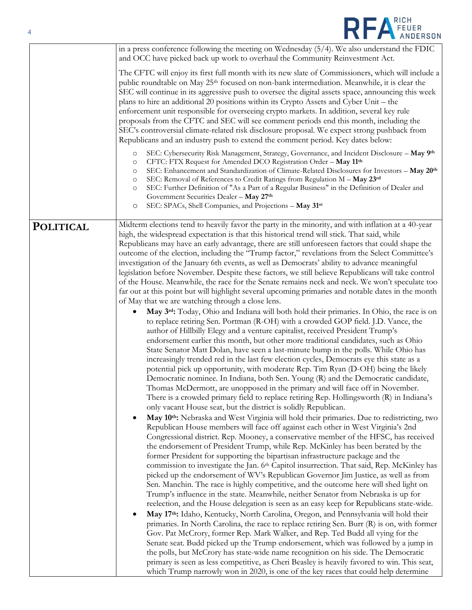| $\overline{4}$   | REA FEUER                                                                                                                                                                                                                                                                                                                                                                                                                                                                                                                                                                                                                                                                                                                                                                                                                                                                                                                                                                                                                                                                                                                                                                                                                                                                                                                                                                                                                                                                                                                                                                                                                                                                                                                                                                                                                                                                                                                                                                                                                                                                                                                                                                                                                                                                                                                                                                                                                                                                                                                                                                                                                                                                                                                                                                                                                                                                                               |
|------------------|---------------------------------------------------------------------------------------------------------------------------------------------------------------------------------------------------------------------------------------------------------------------------------------------------------------------------------------------------------------------------------------------------------------------------------------------------------------------------------------------------------------------------------------------------------------------------------------------------------------------------------------------------------------------------------------------------------------------------------------------------------------------------------------------------------------------------------------------------------------------------------------------------------------------------------------------------------------------------------------------------------------------------------------------------------------------------------------------------------------------------------------------------------------------------------------------------------------------------------------------------------------------------------------------------------------------------------------------------------------------------------------------------------------------------------------------------------------------------------------------------------------------------------------------------------------------------------------------------------------------------------------------------------------------------------------------------------------------------------------------------------------------------------------------------------------------------------------------------------------------------------------------------------------------------------------------------------------------------------------------------------------------------------------------------------------------------------------------------------------------------------------------------------------------------------------------------------------------------------------------------------------------------------------------------------------------------------------------------------------------------------------------------------------------------------------------------------------------------------------------------------------------------------------------------------------------------------------------------------------------------------------------------------------------------------------------------------------------------------------------------------------------------------------------------------------------------------------------------------------------------------------------------------|
|                  | in a press conference following the meeting on Wednesday $(5/4)$ . We also understand the FDIC<br>and OCC have picked back up work to overhaul the Community Reinvestment Act.                                                                                                                                                                                                                                                                                                                                                                                                                                                                                                                                                                                                                                                                                                                                                                                                                                                                                                                                                                                                                                                                                                                                                                                                                                                                                                                                                                                                                                                                                                                                                                                                                                                                                                                                                                                                                                                                                                                                                                                                                                                                                                                                                                                                                                                                                                                                                                                                                                                                                                                                                                                                                                                                                                                          |
|                  | The CFTC will enjoy its first full month with its new slate of Commissioners, which will include a<br>public roundtable on May 25 <sup>th</sup> focused on non-bank intermediation. Meanwhile, it is clear the<br>SEC will continue in its aggressive push to oversee the digital assets space, announcing this week<br>plans to hire an additional 20 positions within its Crypto Assets and Cyber Unit - the<br>enforcement unit responsible for overseeing crypto markets. In addition, several key rule<br>proposals from the CFTC and SEC will see comment periods end this month, including the<br>SEC's controversial climate-related risk disclosure proposal. We expect strong pushback from<br>Republicans and an industry push to extend the comment period. Key dates below:                                                                                                                                                                                                                                                                                                                                                                                                                                                                                                                                                                                                                                                                                                                                                                                                                                                                                                                                                                                                                                                                                                                                                                                                                                                                                                                                                                                                                                                                                                                                                                                                                                                                                                                                                                                                                                                                                                                                                                                                                                                                                                                |
|                  | SEC: Cybersecurity Risk Management, Strategy, Governance, and Incident Disclosure - May 9th<br>$\circ$<br>CFTC: FTX Request for Amended DCO Registration Order - May 11th<br>$\circ$<br>SEC: Enhancement and Standardization of Climate-Related Disclosures for Investors - May 20th<br>$\circ$<br>SEC: Removal of References to Credit Ratings from Regulation M - May 23rd<br>$\circ$<br>SEC: Further Definition of "As a Part of a Regular Business" in the Definition of Dealer and<br>$\circ$<br>Government Securities Dealer - May 27th<br>SEC: SPACs, Shell Companies, and Projections - May 31st<br>$\circ$                                                                                                                                                                                                                                                                                                                                                                                                                                                                                                                                                                                                                                                                                                                                                                                                                                                                                                                                                                                                                                                                                                                                                                                                                                                                                                                                                                                                                                                                                                                                                                                                                                                                                                                                                                                                                                                                                                                                                                                                                                                                                                                                                                                                                                                                                     |
| <b>POLITICAL</b> | Midterm elections tend to heavily favor the party in the minority, and with inflation at a 40-year<br>high, the widespread expectation is that this historical trend will stick. That said, while<br>Republicans may have an early advantage, there are still unforeseen factors that could shape the<br>outcome of the election, including the "Trump factor," revelations from the Select Committee's<br>investigation of the January 6th events, as well as Democrats' ability to advance meaningful<br>legislation before November. Despite these factors, we still believe Republicans will take control<br>of the House. Meanwhile, the race for the Senate remains neck and neck. We won't speculate too<br>far out at this point but will highlight several upcoming primaries and notable dates in the month<br>of May that we are watching through a close lens.<br>May 3 <sup>rd</sup> : Today, Ohio and Indiana will both hold their primaries. In Ohio, the race is on<br>$\bullet$<br>to replace retiring Sen. Portman (R-OH) with a crowded GOP field. J.D. Vance, the<br>author of Hillbilly Elegy and a venture capitalist, received President Trump's<br>endorsement earlier this month, but other more traditional candidates, such as Ohio<br>State Senator Matt Dolan, have seen a last-minute bump in the polls. While Ohio has<br>increasingly trended red in the last few election cycles, Democrats eye this state as a<br>potential pick up opportunity, with moderate Rep. Tim Ryan (D-OH) being the likely<br>Democratic nominee. In Indiana, both Sen. Young (R) and the Democratic candidate,<br>Thomas McDermott, are unopposed in the primary and will face off in November.<br>There is a crowded primary field to replace retiring Rep. Hollingsworth (R) in Indiana's<br>only vacant House seat, but the district is solidly Republican.<br>May 10th: Nebraska and West Virginia will hold their primaries. Due to redistricting, two<br>$\bullet$<br>Republican House members will face off against each other in West Virginia's 2nd<br>Congressional district. Rep. Mooney, a conservative member of the HFSC, has received<br>the endorsement of President Trump, while Rep. McKinley has been berated by the<br>former President for supporting the bipartisan infrastructure package and the<br>commission to investigate the Jan. 6th Capitol insurrection. That said, Rep. McKinley has<br>picked up the endorsement of WV's Republican Governor Jim Justice, as well as from<br>Sen. Manchin. The race is highly competitive, and the outcome here will shed light on<br>Trump's influence in the state. Meanwhile, neither Senator from Nebraska is up for<br>reelection, and the House delegation is seen as an easy keep for Republicans state-wide.<br>May 17th: Idaho, Kentucky, North Carolina, Oregon, and Pennsylvania will hold their<br>$\bullet$ |
|                  | primaries. In North Carolina, the race to replace retiring Sen. Burr $(R)$ is on, with former<br>Gov. Pat McCrory, former Rep. Mark Walker, and Rep. Ted Budd all vying for the<br>Senate seat. Budd picked up the Trump endorsement, which was followed by a jump in<br>the polls, but McCrory has state-wide name recognition on his side. The Democratic<br>primary is seen as less competitive, as Cheri Beasley is heavily favored to win. This seat,<br>which Trump narrowly won in 2020, is one of the key races that could help determine                                                                                                                                                                                                                                                                                                                                                                                                                                                                                                                                                                                                                                                                                                                                                                                                                                                                                                                                                                                                                                                                                                                                                                                                                                                                                                                                                                                                                                                                                                                                                                                                                                                                                                                                                                                                                                                                                                                                                                                                                                                                                                                                                                                                                                                                                                                                                       |